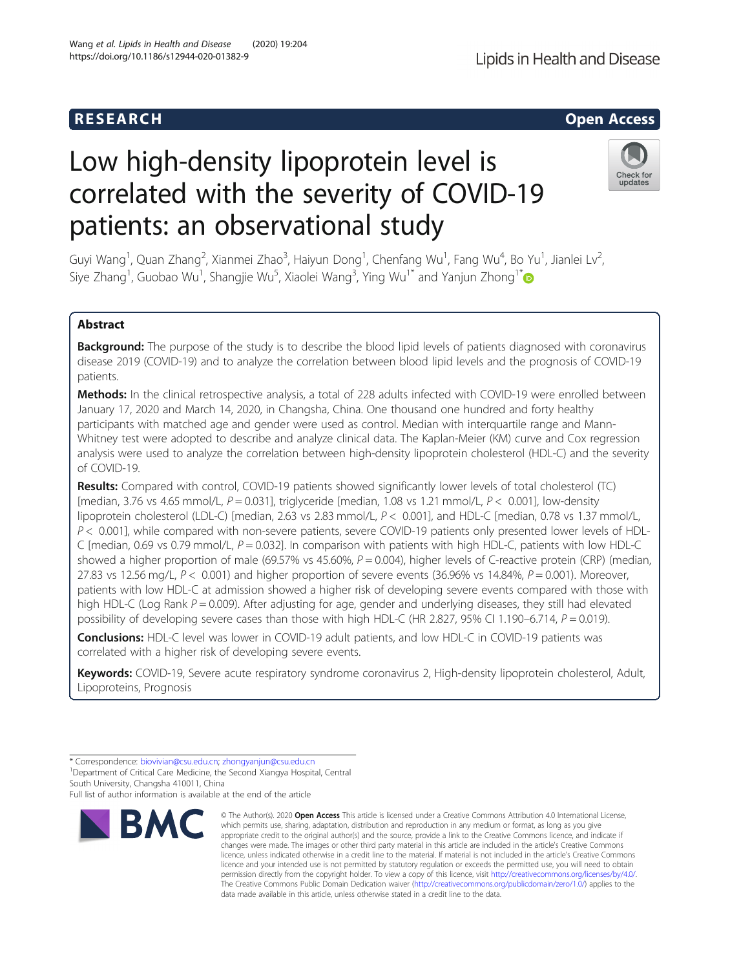# Low high-density lipoprotein level is correlated with the severity of COVID-19 patients: an observational study

Guyi Wang<sup>1</sup>, Quan Zhang<sup>2</sup>, Xianmei Zhao<sup>3</sup>, Haiyun Dong<sup>1</sup>, Chenfang Wu<sup>1</sup>, Fang Wu<sup>4</sup>, Bo Yu<sup>1</sup>, Jianlei Lv<sup>2</sup> , Siye Zhang<sup>1</sup>, Guobao Wu<sup>1</sup>, Shangjie Wu<sup>5</sup>, Xiaolei Wang<sup>3</sup>, Ying Wu<sup>1\*</sup> and Yanjun Zhong<sup>1\*</sup>

# Abstract

Background: The purpose of the study is to describe the blood lipid levels of patients diagnosed with coronavirus disease 2019 (COVID-19) and to analyze the correlation between blood lipid levels and the prognosis of COVID-19 patients.

Methods: In the clinical retrospective analysis, a total of 228 adults infected with COVID-19 were enrolled between January 17, 2020 and March 14, 2020, in Changsha, China. One thousand one hundred and forty healthy participants with matched age and gender were used as control. Median with interquartile range and Mann-Whitney test were adopted to describe and analyze clinical data. The Kaplan-Meier (KM) curve and Cox regression analysis were used to analyze the correlation between high-density lipoprotein cholesterol (HDL-C) and the severity of COVID-19.

Results: Compared with control, COVID-19 patients showed significantly lower levels of total cholesterol (TC) [median, 3.76 vs 4.65 mmol/L,  $P = 0.031$ ], triglyceride [median, 1.08 vs 1.21 mmol/L,  $P < 0.001$ ], low-density lipoprotein cholesterol (LDL-C) [median, 2.63 vs 2.83 mmol/L, P < 0.001], and HDL-C [median, 0.78 vs 1.37 mmol/L,  $P < 0.001$ ], while compared with non-severe patients, severe COVID-19 patients only presented lower levels of HDL-C [median, 0.69 vs 0.79 mmol/L,  $P = 0.032$ ]. In comparison with patients with high HDL-C, patients with low HDL-C showed a higher proportion of male (69.57% vs 45.60%,  $P = 0.004$ ), higher levels of C-reactive protein (CRP) (median, 27.83 vs 12.56 mg/L,  $P < 0.001$ ) and higher proportion of severe events (36.96% vs 14.84%,  $P = 0.001$ ). Moreover, patients with low HDL-C at admission showed a higher risk of developing severe events compared with those with high HDL-C (Log Rank  $P = 0.009$ ). After adjusting for age, gender and underlying diseases, they still had elevated possibility of developing severe cases than those with high HDL-C (HR 2.827, 95% CI 1.190–6.714,  $P = 0.019$ ).

Conclusions: HDL-C level was lower in COVID-19 adult patients, and low HDL-C in COVID-19 patients was correlated with a higher risk of developing severe events.

Keywords: COVID-19, Severe acute respiratory syndrome coronavirus 2, High-density lipoprotein cholesterol, Adult, Lipoproteins, Prognosis

**BMC** 

© The Author(s), 2020 **Open Access** This article is licensed under a Creative Commons Attribution 4.0 International License, which permits use, sharing, adaptation, distribution and reproduction in any medium or format, as long as you give

Lipids in Health and Disease



<sup>\*</sup> Correspondence: [biovivian@csu.edu.cn](mailto:biovivian@csu.edu.cn); [zhongyanjun@csu.edu.cn](mailto:zhongyanjun@csu.edu.cn) <sup>1</sup>

<sup>&</sup>lt;sup>1</sup>Department of Critical Care Medicine, the Second Xiangya Hospital, Central South University, Changsha 410011, China

Full list of author information is available at the end of the article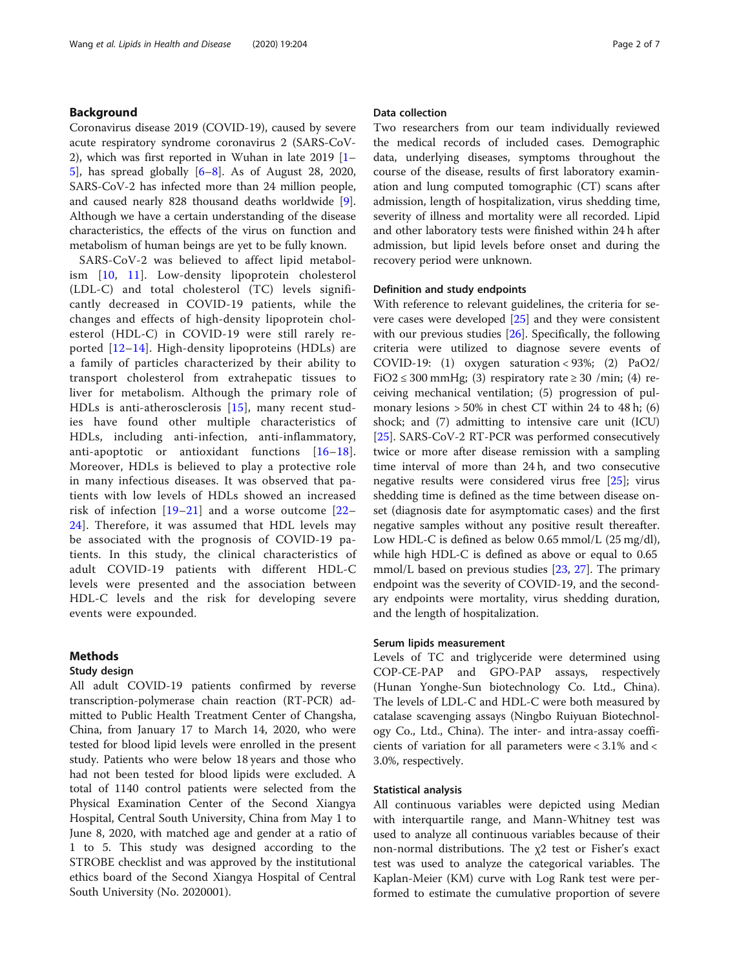# Background

Coronavirus disease 2019 (COVID-19), caused by severe acute respiratory syndrome coronavirus 2 (SARS-CoV-2), which was first reported in Wuhan in late 2019 [[1](#page-5-0)– [5\]](#page-5-0), has spread globally [\[6](#page-6-0)–[8\]](#page-6-0). As of August 28, 2020, SARS-CoV-2 has infected more than 24 million people, and caused nearly 828 thousand deaths worldwide [\[9](#page-6-0)]. Although we have a certain understanding of the disease characteristics, the effects of the virus on function and metabolism of human beings are yet to be fully known.

SARS-CoV-2 was believed to affect lipid metabolism [\[10,](#page-6-0) [11](#page-6-0)]. Low-density lipoprotein cholesterol (LDL-C) and total cholesterol (TC) levels significantly decreased in COVID-19 patients, while the changes and effects of high-density lipoprotein cholesterol (HDL-C) in COVID-19 were still rarely reported [[12](#page-6-0)–[14](#page-6-0)]. High-density lipoproteins (HDLs) are a family of particles characterized by their ability to transport cholesterol from extrahepatic tissues to liver for metabolism. Although the primary role of HDLs is anti-atherosclerosis [[15](#page-6-0)], many recent studies have found other multiple characteristics of HDLs, including anti-infection, anti-inflammatory, anti-apoptotic or antioxidant functions [[16](#page-6-0)–[18](#page-6-0)]. Moreover, HDLs is believed to play a protective role in many infectious diseases. It was observed that patients with low levels of HDLs showed an increased risk of infection [[19](#page-6-0)–[21](#page-6-0)] and a worse outcome [\[22](#page-6-0)– [24\]](#page-6-0). Therefore, it was assumed that HDL levels may be associated with the prognosis of COVID-19 patients. In this study, the clinical characteristics of adult COVID-19 patients with different HDL-C levels were presented and the association between HDL-C levels and the risk for developing severe events were expounded.

# Methods

# Study design

All adult COVID-19 patients confirmed by reverse transcription-polymerase chain reaction (RT-PCR) admitted to Public Health Treatment Center of Changsha, China, from January 17 to March 14, 2020, who were tested for blood lipid levels were enrolled in the present study. Patients who were below 18 years and those who had not been tested for blood lipids were excluded. A total of 1140 control patients were selected from the Physical Examination Center of the Second Xiangya Hospital, Central South University, China from May 1 to June 8, 2020, with matched age and gender at a ratio of 1 to 5. This study was designed according to the STROBE checklist and was approved by the institutional ethics board of the Second Xiangya Hospital of Central South University (No. 2020001).

# Data collection

Two researchers from our team individually reviewed the medical records of included cases. Demographic data, underlying diseases, symptoms throughout the course of the disease, results of first laboratory examination and lung computed tomographic (CT) scans after admission, length of hospitalization, virus shedding time, severity of illness and mortality were all recorded. Lipid and other laboratory tests were finished within 24 h after admission, but lipid levels before onset and during the recovery period were unknown.

#### Definition and study endpoints

With reference to relevant guidelines, the criteria for severe cases were developed [\[25](#page-6-0)] and they were consistent with our previous studies [[26](#page-6-0)]. Specifically, the following criteria were utilized to diagnose severe events of COVID-19: (1) oxygen saturation <  $93\%$ ; (2) PaO2/ FiO2  $\leq$  300 mmHg; (3) respiratory rate  $\geq$  30 /min; (4) receiving mechanical ventilation; (5) progression of pulmonary lesions  $> 50\%$  in chest CT within 24 to 48 h; (6) shock; and (7) admitting to intensive care unit (ICU) [[25\]](#page-6-0). SARS-CoV-2 RT-PCR was performed consecutively twice or more after disease remission with a sampling time interval of more than 24 h, and two consecutive negative results were considered virus free [\[25](#page-6-0)]; virus shedding time is defined as the time between disease onset (diagnosis date for asymptomatic cases) and the first negative samples without any positive result thereafter. Low HDL-C is defined as below 0.65 mmol/L (25 mg/dl), while high HDL-C is defined as above or equal to 0.65 mmol/L based on previous studies [\[23](#page-6-0), [27](#page-6-0)]. The primary endpoint was the severity of COVID-19, and the secondary endpoints were mortality, virus shedding duration, and the length of hospitalization.

# Serum lipids measurement

Levels of TC and triglyceride were determined using COP-CE-PAP and GPO-PAP assays, respectively (Hunan Yonghe-Sun biotechnology Co. Ltd., China). The levels of LDL-C and HDL-C were both measured by catalase scavenging assays (Ningbo Ruiyuan Biotechnology Co., Ltd., China). The inter- and intra-assay coefficients of variation for all parameters were < 3.1% and < 3.0%, respectively.

# Statistical analysis

All continuous variables were depicted using Median with interquartile range, and Mann-Whitney test was used to analyze all continuous variables because of their non-normal distributions. The  $χ2$  test or Fisher's exact test was used to analyze the categorical variables. The Kaplan-Meier (KM) curve with Log Rank test were performed to estimate the cumulative proportion of severe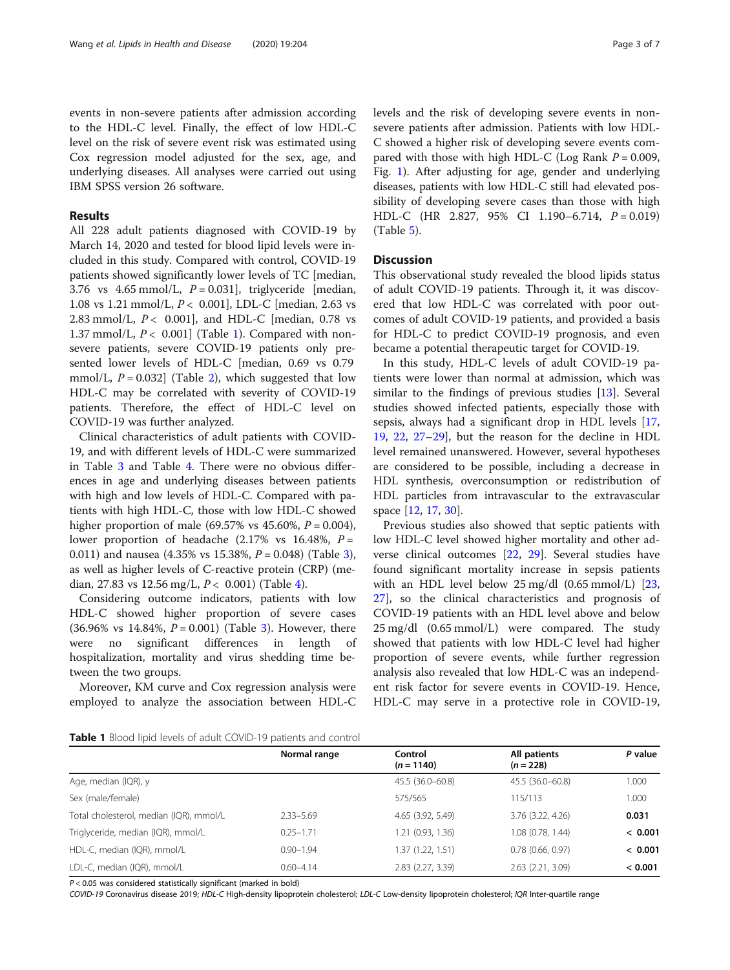events in non-severe patients after admission according to the HDL-C level. Finally, the effect of low HDL-C level on the risk of severe event risk was estimated using Cox regression model adjusted for the sex, age, and underlying diseases. All analyses were carried out using IBM SPSS version 26 software.

# Results

All 228 adult patients diagnosed with COVID-19 by March 14, 2020 and tested for blood lipid levels were included in this study. Compared with control, COVID-19 patients showed significantly lower levels of TC [median, 3.76 vs  $4.65$  mmol/L,  $P = 0.031$ , triglyceride [median, 1.08 vs 1.21 mmol/L, P < 0.001], LDL-C [median, 2.63 vs 2.83 mmol/L,  $P < 0.001$ ], and HDL-C [median, 0.78 vs 1.37 mmol/L,  $P < 0.001$ ] (Table 1). Compared with nonsevere patients, severe COVID-19 patients only presented lower levels of HDL-C [median, 0.69 vs 0.79 mmol/L,  $P = 0.032$  (Table [2\)](#page-3-0), which suggested that low HDL-C may be correlated with severity of COVID-19 patients. Therefore, the effect of HDL-C level on COVID-19 was further analyzed.

Clinical characteristics of adult patients with COVID-19, and with different levels of HDL-C were summarized in Table [3](#page-3-0) and Table [4.](#page-4-0) There were no obvious differences in age and underlying diseases between patients with high and low levels of HDL-C. Compared with patients with high HDL-C, those with low HDL-C showed higher proportion of male (69.57% vs 45.60%,  $P = 0.004$ ), lower proportion of headache  $(2.17\% \text{ vs } 16.48\%, P =$ 0.011) and nausea (4.[3](#page-3-0)5% vs 15.38%,  $P = 0.048$ ) (Table 3), as well as higher levels of C-reactive protein (CRP) (median, 27.83 vs 12.56 mg/L,  $P < 0.001$ ) (Table [4\)](#page-4-0).

Considering outcome indicators, patients with low HDL-C showed higher proportion of severe cases (36.96% vs 14.84%,  $P = 0.001$ ) (Table [3\)](#page-3-0). However, there were no significant differences in length of hospitalization, mortality and virus shedding time between the two groups.

Moreover, KM curve and Cox regression analysis were employed to analyze the association between HDL-C levels and the risk of developing severe events in nonsevere patients after admission. Patients with low HDL-C showed a higher risk of developing severe events compared with those with high HDL-C (Log Rank  $P = 0.009$ , Fig. [1\)](#page-4-0). After adjusting for age, gender and underlying diseases, patients with low HDL-C still had elevated possibility of developing severe cases than those with high HDL-C (HR 2.827, 95% CI 1.190–6.714,  $P = 0.019$ ) (Table [5\)](#page-5-0).

# **Discussion**

This observational study revealed the blood lipids status of adult COVID-19 patients. Through it, it was discovered that low HDL-C was correlated with poor outcomes of adult COVID-19 patients, and provided a basis for HDL-C to predict COVID-19 prognosis, and even became a potential therapeutic target for COVID-19.

In this study, HDL-C levels of adult COVID-19 patients were lower than normal at admission, which was similar to the findings of previous studies [\[13](#page-6-0)]. Several studies showed infected patients, especially those with sepsis, always had a significant drop in HDL levels [[17](#page-6-0), [19,](#page-6-0) [22,](#page-6-0) [27](#page-6-0)–[29](#page-6-0)], but the reason for the decline in HDL level remained unanswered. However, several hypotheses are considered to be possible, including a decrease in HDL synthesis, overconsumption or redistribution of HDL particles from intravascular to the extravascular space [[12,](#page-6-0) [17,](#page-6-0) [30\]](#page-6-0).

Previous studies also showed that septic patients with low HDL-C level showed higher mortality and other adverse clinical outcomes [[22](#page-6-0), [29\]](#page-6-0). Several studies have found significant mortality increase in sepsis patients with an HDL level below 25 mg/dl (0.65 mmol/L) [[23](#page-6-0), [27\]](#page-6-0), so the clinical characteristics and prognosis of COVID-19 patients with an HDL level above and below 25 mg/dl (0.65 mmol/L) were compared. The study showed that patients with low HDL-C level had higher proportion of severe events, while further regression analysis also revealed that low HDL-C was an independent risk factor for severe events in COVID-19. Hence, HDL-C may serve in a protective role in COVID-19,

| <b>Table 1</b> Blood lipid levels of adult COVID-19 patients and control |
|--------------------------------------------------------------------------|
|--------------------------------------------------------------------------|

|                                         | Normal range  | Control           | All patients          | P value |
|-----------------------------------------|---------------|-------------------|-----------------------|---------|
|                                         |               | $(n = 1140)$      | $(n = 228)$           |         |
| Age, median (IQR), y                    |               | 45.5 (36.0-60.8)  | 45.5 (36.0-60.8)      | 1.000   |
| Sex (male/female)                       |               | 575/565           | 115/113               | 1.000   |
| Total cholesterol, median (IQR), mmol/L | $2.33 - 5.69$ | 4.65 (3.92, 5.49) | 3.76 (3.22, 4.26)     | 0.031   |
| Triglyceride, median (IQR), mmol/L      | $0.25 - 1.71$ | 1.21 (0.93, 1.36) | 1.08 (0.78, 1.44)     | < 0.001 |
| HDL-C, median (IQR), mmol/L             | $0.90 - 1.94$ | 1.37 (1.22, 1.51) | $0.78$ $(0.66, 0.97)$ | < 0.001 |
| LDL-C, median (IQR), mmol/L             | $0.60 - 4.14$ | 2.83 (2.27, 3.39) | 2.63 (2.21, 3.09)     | < 0.001 |

 $P < 0.05$  was considered statistically significant (marked in bold)

COVID-19 Coronavirus disease 2019; HDL-C High-density lipoprotein cholesterol; LDL-C Low-density lipoprotein cholesterol; IQR Inter-quartile range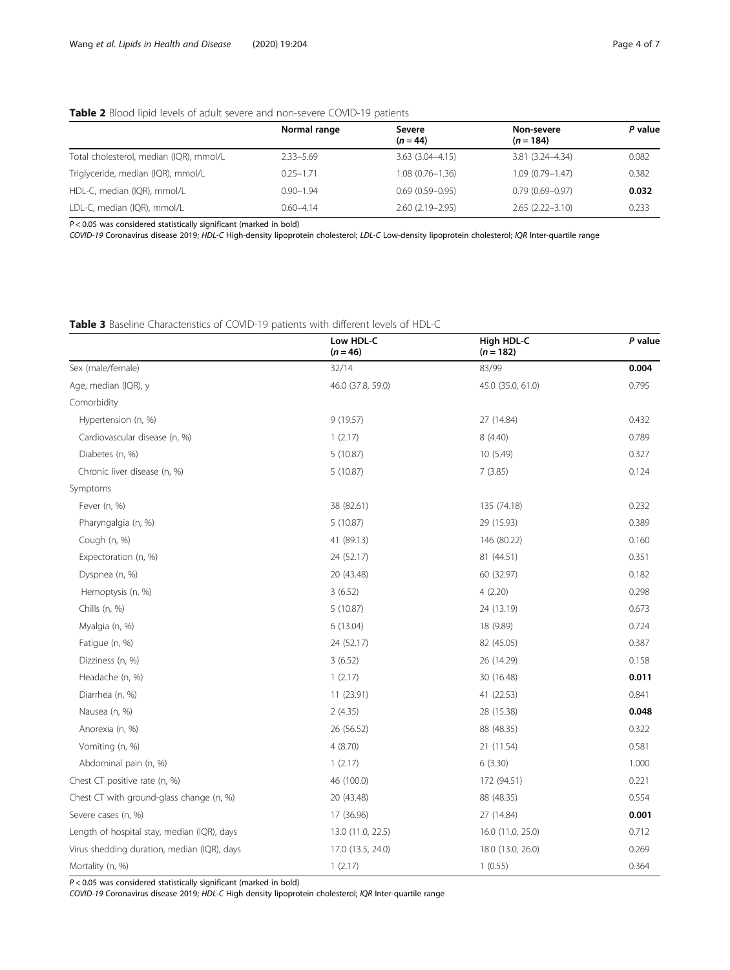# <span id="page-3-0"></span>Table 2 Blood lipid levels of adult severe and non-severe COVID-19 patients

|                                         | Normal range  | Severe<br>$(n = 44)$ | Non-severe<br>$(n = 184)$ | P value |
|-----------------------------------------|---------------|----------------------|---------------------------|---------|
| Total cholesterol, median (IQR), mmol/L | 2.33-5.69     | $3.63(3.04 - 4.15)$  | $3.81(3.24 - 4.34)$       | 0.082   |
| Triglyceride, median (IQR), mmol/L      | $0.25 - 1.71$ | $1.08(0.76 - 1.36)$  | $1.09(0.79 - 1.47)$       | 0.382   |
| HDL-C, median (IQR), mmol/L             | $0.90 - 1.94$ | $0.69(0.59 - 0.95)$  | $0.79(0.69 - 0.97)$       | 0.032   |
| LDL-C, median (IQR), mmol/L             | $0.60 - 4.14$ | $2.60(2.19 - 2.95)$  | $2.65(2.22 - 3.10)$       | 0.233   |

 $P < 0.05$  was considered statistically significant (marked in bold)

COVID-19 Coronavirus disease 2019; HDL-C High-density lipoprotein cholesterol; LDL-C Low-density lipoprotein cholesterol; IQR Inter-quartile range

# Table 3 Baseline Characteristics of COVID-19 patients with different levels of HDL-C

|                                             | Low HDL-C<br>$(n = 46)$ | High HDL-C<br>$(n = 182)$ | P value |
|---------------------------------------------|-------------------------|---------------------------|---------|
| Sex (male/female)                           | 32/14                   | 83/99                     | 0.004   |
| Age, median (IQR), y                        | 46.0 (37.8, 59.0)       | 45.0 (35.0, 61.0)         | 0.795   |
| Comorbidity                                 |                         |                           |         |
| Hypertension (n, %)                         | 9(19.57)                | 27 (14.84)                | 0.432   |
| Cardiovascular disease (n, %)               | 1(2.17)                 | 8 (4.40)                  | 0.789   |
| Diabetes (n, %)                             | 5(10.87)                | 10(5.49)                  | 0.327   |
| Chronic liver disease (n, %)                | 5(10.87)                | 7(3.85)                   | 0.124   |
| Symptoms                                    |                         |                           |         |
| Fever (n, %)                                | 38 (82.61)              | 135 (74.18)               | 0.232   |
| Pharyngalgia (n, %)                         | 5(10.87)                | 29 (15.93)                | 0.389   |
| Cough (n, %)                                | 41 (89.13)              | 146 (80.22)               | 0.160   |
| Expectoration (n, %)                        | 24 (52.17)              | 81 (44.51)                | 0.351   |
| Dyspnea (n, %)                              | 20 (43.48)              | 60 (32.97)                | 0.182   |
| Hemoptysis (n, %)                           | 3(6.52)                 | 4(2.20)                   | 0.298   |
| Chills (n, %)                               | 5(10.87)                | 24 (13.19)                | 0.673   |
| Myalgia (n, %)                              | 6(13.04)                | 18 (9.89)                 | 0.724   |
| Fatigue (n, %)                              | 24 (52.17)              | 82 (45.05)                | 0.387   |
| Dizziness (n, %)                            | 3(6.52)                 | 26 (14.29)                | 0.158   |
| Headache (n, %)                             | 1(2.17)                 | 30 (16.48)                | 0.011   |
| Diarrhea (n, %)                             | 11 (23.91)              | 41 (22.53)                | 0.841   |
| Nausea (n, %)                               | 2(4.35)                 | 28 (15.38)                | 0.048   |
| Anorexia (n, %)                             | 26 (56.52)              | 88 (48.35)                | 0.322   |
| Vomiting (n, %)                             | 4(8.70)                 | 21 (11.54)                | 0.581   |
| Abdominal pain (n, %)                       | 1(2.17)                 | 6(3.30)                   | 1.000   |
| Chest CT positive rate (n, %)               | 46 (100.0)              | 172 (94.51)               | 0.221   |
| Chest CT with ground-glass change (n, %)    | 20 (43.48)              | 88 (48.35)                | 0.554   |
| Severe cases (n, %)                         | 17 (36.96)              | 27 (14.84)                | 0.001   |
| Length of hospital stay, median (IQR), days | 13.0 (11.0, 22.5)       | 16.0 (11.0, 25.0)         | 0.712   |
| Virus shedding duration, median (IQR), days | 17.0 (13.5, 24.0)       | 18.0 (13.0, 26.0)         | 0.269   |
| Mortality (n, %)                            | 1(2.17)                 | 1(0.55)                   | 0.364   |

 $P < 0.05$  was considered statistically significant (marked in bold)

COVID-19 Coronavirus disease 2019; HDL-C High density lipoprotein cholesterol; IQR Inter-quartile range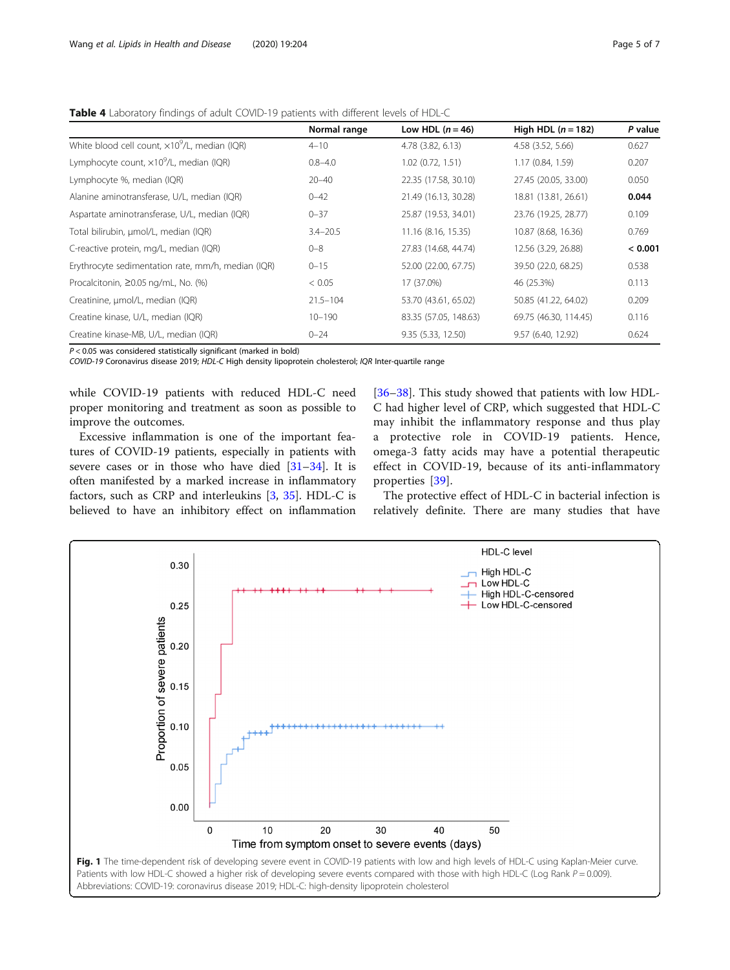|                                                        | Normal range | Low HDL $(n = 46)$    | High HDL $(n = 182)$  | P value |
|--------------------------------------------------------|--------------|-----------------------|-----------------------|---------|
| White blood cell count, $\times 10^9$ /L, median (IQR) | $4 - 10$     | 4.78 (3.82, 6.13)     | 4.58 (3.52, 5.66)     | 0.627   |
| Lymphocyte count, $\times 10^9$ /L, median (IQR)       | $0.8 - 4.0$  | $1.02$ (0.72, 1.51)   | 1.17 (0.84, 1.59)     | 0.207   |
| Lymphocyte %, median (IQR)                             | $20 - 40$    | 22.35 (17.58, 30.10)  | 27.45 (20.05, 33.00)  | 0.050   |
| Alanine aminotransferase, U/L, median (IQR)            | $0 - 42$     | 21.49 (16.13, 30.28)  | 18.81 (13.81, 26.61)  | 0.044   |
| Aspartate aminotransferase, U/L, median (IQR)          | $0 - 37$     | 25.87 (19.53, 34.01)  | 23.76 (19.25, 28.77)  | 0.109   |
| Total bilirubin, µmol/L, median (IQR)                  | $3.4 - 20.5$ | 11.16 (8.16, 15.35)   | 10.87 (8.68, 16.36)   | 0.769   |
| C-reactive protein, mg/L, median (IQR)                 | $0 - 8$      | 27.83 (14.68, 44.74)  | 12.56 (3.29, 26.88)   | < 0.001 |
| Erythrocyte sedimentation rate, mm/h, median (IQR)     | $0 - 15$     | 52.00 (22.00, 67.75)  | 39.50 (22.0, 68.25)   | 0.538   |
| Procalcitonin, ≥0.05 ng/mL, No. (%)                    | < 0.05       | 17 (37.0%)            | 46 (25.3%)            | 0.113   |
| Creatinine, µmol/L, median (IQR)                       | $21.5 - 104$ | 53.70 (43.61, 65.02)  | 50.85 (41.22, 64.02)  | 0.209   |
| Creatine kinase, U/L, median (IQR)                     | $10 - 190$   | 83.35 (57.05, 148.63) | 69.75 (46.30, 114.45) | 0.116   |
| Creatine kinase-MB, U/L, median (IQR)                  | $0 - 24$     | 9.35 (5.33, 12.50)    | 9.57 (6.40, 12.92)    | 0.624   |

<span id="page-4-0"></span>Table 4 Laboratory findings of adult COVID-19 patients with different levels of HDL-C

 $P < 0.05$  was considered statistically significant (marked in bold)

COVID-19 Coronavirus disease 2019; HDL-C High density lipoprotein cholesterol; IQR Inter-quartile range

while COVID-19 patients with reduced HDL-C need proper monitoring and treatment as soon as possible to improve the outcomes.

Excessive inflammation is one of the important features of COVID-19 patients, especially in patients with severe cases or in those who have died [\[31](#page-6-0)–[34\]](#page-6-0). It is often manifested by a marked increase in inflammatory factors, such as CRP and interleukins [\[3](#page-5-0), [35\]](#page-6-0). HDL-C is believed to have an inhibitory effect on inflammation [[36](#page-6-0)–[38](#page-6-0)]. This study showed that patients with low HDL-C had higher level of CRP, which suggested that HDL-C may inhibit the inflammatory response and thus play a protective role in COVID-19 patients. Hence, omega-3 fatty acids may have a potential therapeutic effect in COVID-19, because of its anti-inflammatory properties [[39](#page-6-0)].

The protective effect of HDL-C in bacterial infection is relatively definite. There are many studies that have

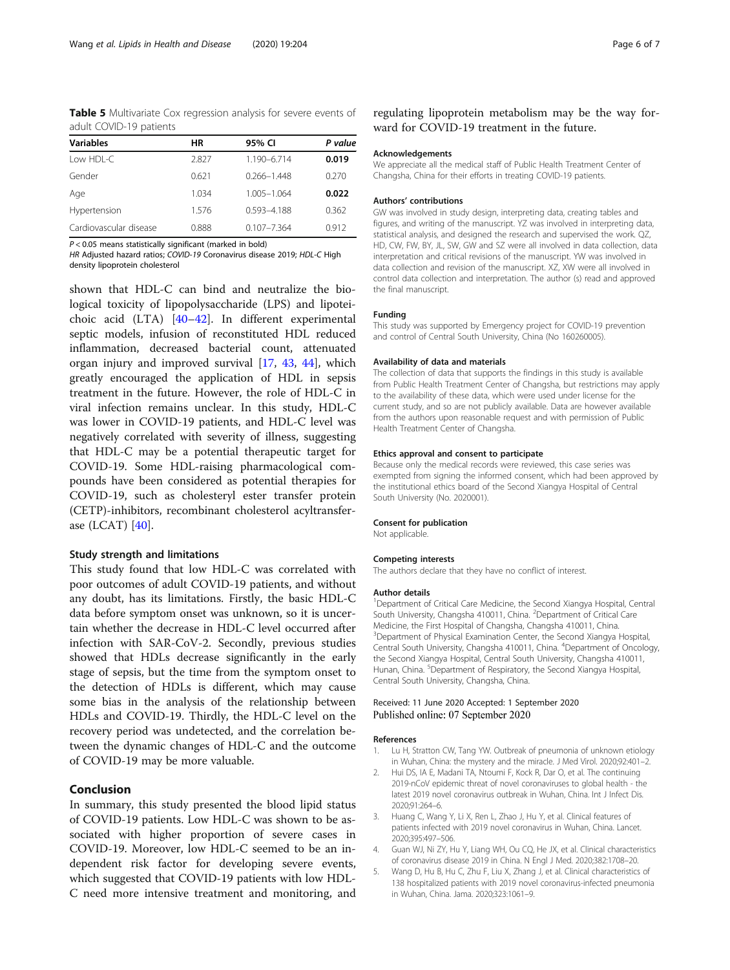<span id="page-5-0"></span>Table 5 Multivariate Cox regression analysis for severe events of adult COVID-19 patients

| HR    | 95% CI          | P value |
|-------|-----------------|---------|
| 2.827 | 1.190-6.714     | 0.019   |
| 0.621 | $0.266 - 1.448$ | 0.270   |
| 1.034 | 1.005-1.064     | 0.022   |
| 1.576 | 0.593-4.188     | 0.362   |
| 0.888 | $0.107 - 7.364$ | 0.912   |
|       |                 |         |

 $P < 0.05$  means statistically significant (marked in bold)

HR Adjusted hazard ratios; COVID-19 Coronavirus disease 2019; HDL-C High density lipoprotein cholesterol

shown that HDL-C can bind and neutralize the biological toxicity of lipopolysaccharide (LPS) and lipoteichoic acid (LTA) [\[40](#page-6-0)–[42\]](#page-6-0). In different experimental septic models, infusion of reconstituted HDL reduced inflammation, decreased bacterial count, attenuated organ injury and improved survival [[17,](#page-6-0) [43](#page-6-0), [44](#page-6-0)], which greatly encouraged the application of HDL in sepsis treatment in the future. However, the role of HDL-C in viral infection remains unclear. In this study, HDL-C was lower in COVID-19 patients, and HDL-C level was negatively correlated with severity of illness, suggesting that HDL-C may be a potential therapeutic target for COVID-19. Some HDL-raising pharmacological compounds have been considered as potential therapies for COVID-19, such as cholesteryl ester transfer protein (CETP)-inhibitors, recombinant cholesterol acyltransferase (LCAT) [\[40](#page-6-0)].

# Study strength and limitations

This study found that low HDL-C was correlated with poor outcomes of adult COVID-19 patients, and without any doubt, has its limitations. Firstly, the basic HDL-C data before symptom onset was unknown, so it is uncertain whether the decrease in HDL-C level occurred after infection with SAR-CoV-2. Secondly, previous studies showed that HDLs decrease significantly in the early stage of sepsis, but the time from the symptom onset to the detection of HDLs is different, which may cause some bias in the analysis of the relationship between HDLs and COVID-19. Thirdly, the HDL-C level on the recovery period was undetected, and the correlation between the dynamic changes of HDL-C and the outcome of COVID-19 may be more valuable.

# Conclusion

In summary, this study presented the blood lipid status of COVID-19 patients. Low HDL-C was shown to be associated with higher proportion of severe cases in COVID-19. Moreover, low HDL-C seemed to be an independent risk factor for developing severe events, which suggested that COVID-19 patients with low HDL-C need more intensive treatment and monitoring, and

regulating lipoprotein metabolism may be the way forward for COVID-19 treatment in the future.

#### Acknowledgements

We appreciate all the medical staff of Public Health Treatment Center of Changsha, China for their efforts in treating COVID-19 patients.

#### Authors' contributions

GW was involved in study design, interpreting data, creating tables and figures, and writing of the manuscript. YZ was involved in interpreting data, statistical analysis, and designed the research and supervised the work. QZ, HD, CW, FW, BY, JL, SW, GW and SZ were all involved in data collection, data interpretation and critical revisions of the manuscript. YW was involved in data collection and revision of the manuscript. XZ, XW were all involved in control data collection and interpretation. The author (s) read and approved the final manuscript.

#### Funding

This study was supported by Emergency project for COVID-19 prevention and control of Central South University, China (No 160260005).

#### Availability of data and materials

The collection of data that supports the findings in this study is available from Public Health Treatment Center of Changsha, but restrictions may apply to the availability of these data, which were used under license for the current study, and so are not publicly available. Data are however available from the authors upon reasonable request and with permission of Public Health Treatment Center of Changsha.

# Ethics approval and consent to participate

Because only the medical records were reviewed, this case series was exempted from signing the informed consent, which had been approved by the institutional ethics board of the Second Xiangya Hospital of Central South University (No. 2020001).

# Consent for publication

Not applicable.

# Competing interests

The authors declare that they have no conflict of interest.

#### Author details

<sup>1</sup>Department of Critical Care Medicine, the Second Xiangya Hospital, Central South University, Changsha 410011, China. <sup>2</sup>Department of Critical Care Medicine, the First Hospital of Changsha, Changsha 410011, China. <sup>3</sup>Department of Physical Examination Center, the Second Xiangya Hospital Central South University, Changsha 410011, China. <sup>4</sup>Department of Oncology, the Second Xiangya Hospital, Central South University, Changsha 410011, Hunan, China. <sup>5</sup>Department of Respiratory, the Second Xiangya Hospital Central South University, Changsha, China.

# Received: 11 June 2020 Accepted: 1 September 2020 Published online: 07 September 2020

#### References

- 1. Lu H, Stratton CW, Tang YW. Outbreak of pneumonia of unknown etiology in Wuhan, China: the mystery and the miracle. J Med Virol. 2020;92:401–2.
- 2. Hui DS, IA E, Madani TA, Ntoumi F, Kock R, Dar O, et al. The continuing 2019-nCoV epidemic threat of novel coronaviruses to global health - the latest 2019 novel coronavirus outbreak in Wuhan, China. Int J Infect Dis. 2020;91:264–6.
- 3. Huang C, Wang Y, Li X, Ren L, Zhao J, Hu Y, et al. Clinical features of patients infected with 2019 novel coronavirus in Wuhan, China. Lancet. 2020;395:497–506.
- 4. Guan WJ, Ni ZY, Hu Y, Liang WH, Ou CQ, He JX, et al. Clinical characteristics of coronavirus disease 2019 in China. N Engl J Med. 2020;382:1708–20.
- 5. Wang D, Hu B, Hu C, Zhu F, Liu X, Zhang J, et al. Clinical characteristics of 138 hospitalized patients with 2019 novel coronavirus-infected pneumonia in Wuhan, China. Jama. 2020;323:1061–9.